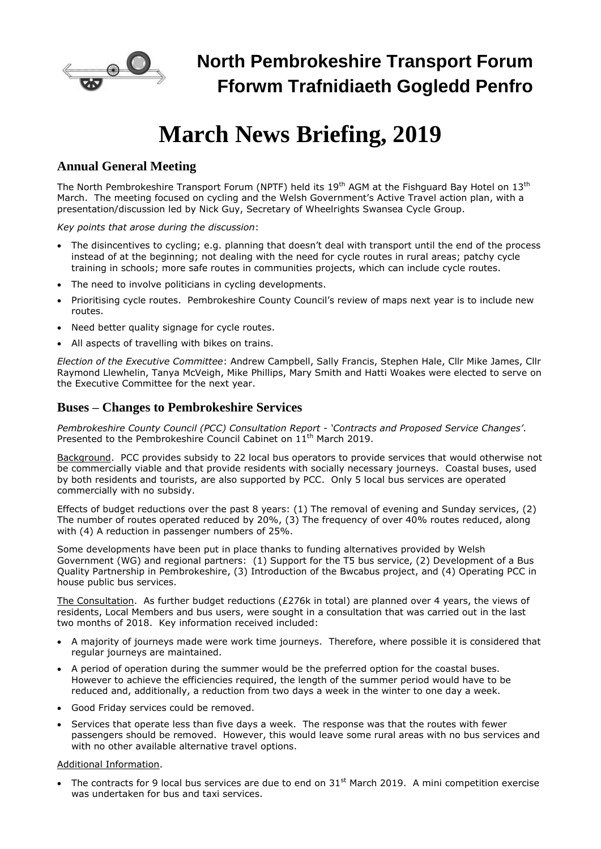

# **March News Briefing, 2019**

## **Annual General Meeting**

The North Pembrokeshire Transport Forum (NPTF) held its  $19<sup>th</sup>$  AGM at the Fishguard Bay Hotel on  $13<sup>th</sup>$ March. The meeting focused on cycling and the Welsh Government's Active Travel action plan, with a presentation/discussion led by Nick Guy, Secretary of Wheelrights Swansea Cycle Group.

*Key points that arose during the discussion*:

- The disincentives to cycling; e.g. planning that doesn't deal with transport until the end of the process instead of at the beginning; not dealing with the need for cycle routes in rural areas; patchy cycle training in schools; more safe routes in communities projects, which can include cycle routes.
- The need to involve politicians in cycling developments.
- Prioritising cycle routes. Pembrokeshire County Council's review of maps next year is to include new routes.
- Need better quality signage for cycle routes.
- All aspects of travelling with bikes on trains.

*Election of the Executive Committee*: Andrew Campbell, Sally Francis, Stephen Hale, Cllr Mike James, Cllr Raymond Llewhelin, Tanya McVeigh, Mike Phillips, Mary Smith and Hatti Woakes were elected to serve on the Executive Committee for the next year.

### **Buses – Changes to Pembrokeshire Services**

*Pembrokeshire County Council (PCC) Consultation Report - 'Contracts and Proposed Service Changes'*. Presented to the Pembrokeshire Council Cabinet on 11<sup>th</sup> March 2019.

Background. PCC provides subsidy to 22 local bus operators to provide services that would otherwise not be commercially viable and that provide residents with socially necessary journeys. Coastal buses, used by both residents and tourists, are also supported by PCC. Only 5 local bus services are operated commercially with no subsidy.

Effects of budget reductions over the past 8 years: (1) The removal of evening and Sunday services, (2) The number of routes operated reduced by 20%, (3) The frequency of over 40% routes reduced, along with (4) A reduction in passenger numbers of 25%.

Some developments have been put in place thanks to funding alternatives provided by Welsh Government (WG) and regional partners: (1) Support for the T5 bus service, (2) Development of a Bus Quality Partnership in Pembrokeshire, (3) Introduction of the Bwcabus project, and (4) Operating PCC in house public bus services.

The Consultation. As further budget reductions (£276k in total) are planned over 4 years, the views of residents, Local Members and bus users, were sought in a consultation that was carried out in the last two months of 2018. Key information received included:

- A majority of journeys made were work time journeys. Therefore, where possible it is considered that regular journeys are maintained.
- A period of operation during the summer would be the preferred option for the coastal buses. However to achieve the efficiencies required, the length of the summer period would have to be reduced and, additionally, a reduction from two days a week in the winter to one day a week.
- Good Friday services could be removed.
- Services that operate less than five days a week. The response was that the routes with fewer passengers should be removed. However, this would leave some rural areas with no bus services and with no other available alternative travel options.

#### Additional Information.

The contracts for 9 local bus services are due to end on  $31<sup>st</sup>$  March 2019. A mini competition exercise was undertaken for bus and taxi services.